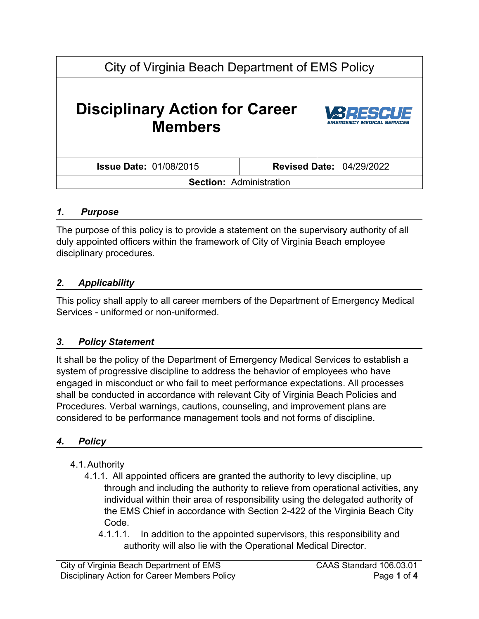# City of Virginia Beach Department of EMS Policy **Disciplinary Action for Career Members Issue Date:** 01/08/2015 **Revised Date:** 04/29/2022 **Section:** Administration

## *1. Purpose*

The purpose of this policy is to provide a statement on the supervisory authority of all duly appointed officers within the framework of City of Virginia Beach employee disciplinary procedures.

### *2. Applicability*

This policy shall apply to all career members of the Department of Emergency Medical Services - uniformed or non-uniformed.

#### *3. Policy Statement*

It shall be the policy of the Department of Emergency Medical Services to establish a system of progressive discipline to address the behavior of employees who have engaged in misconduct or who fail to meet performance expectations. All processes shall be conducted in accordance with relevant City of Virginia Beach Policies and Procedures. Verbal warnings, cautions, counseling, and improvement plans are considered to be performance management tools and not forms of discipline.

#### *4. Policy*

- 4.1.Authority
	- 4.1.1. All appointed officers are granted the authority to levy discipline, up through and including the authority to relieve from operational activities, any individual within their area of responsibility using the delegated authority of the EMS Chief in accordance with Section 2-422 of the Virginia Beach City Code.
		- 4.1.1.1. In addition to the appointed supervisors, this responsibility and authority will also lie with the Operational Medical Director.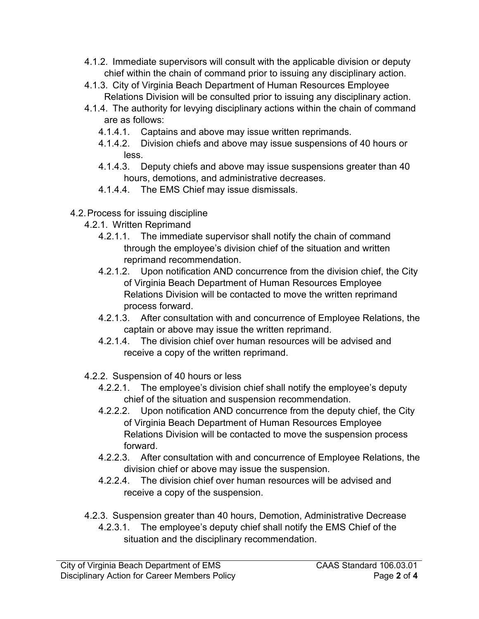- 4.1.2. Immediate supervisors will consult with the applicable division or deputy chief within the chain of command prior to issuing any disciplinary action.
- 4.1.3. City of Virginia Beach Department of Human Resources Employee Relations Division will be consulted prior to issuing any disciplinary action.
- 4.1.4. The authority for levying disciplinary actions within the chain of command are as follows:
	- 4.1.4.1. Captains and above may issue written reprimands.
	- 4.1.4.2. Division chiefs and above may issue suspensions of 40 hours or less.
	- 4.1.4.3. Deputy chiefs and above may issue suspensions greater than 40 hours, demotions, and administrative decreases.
	- 4.1.4.4. The EMS Chief may issue dismissals.
- 4.2.Process for issuing discipline
	- 4.2.1. Written Reprimand
		- 4.2.1.1. The immediate supervisor shall notify the chain of command through the employee's division chief of the situation and written reprimand recommendation.
		- 4.2.1.2. Upon notification AND concurrence from the division chief, the City of Virginia Beach Department of Human Resources Employee Relations Division will be contacted to move the written reprimand process forward.
		- 4.2.1.3. After consultation with and concurrence of Employee Relations, the captain or above may issue the written reprimand.
		- 4.2.1.4. The division chief over human resources will be advised and receive a copy of the written reprimand.
	- 4.2.2. Suspension of 40 hours or less
		- 4.2.2.1. The employee's division chief shall notify the employee's deputy chief of the situation and suspension recommendation.
		- 4.2.2.2. Upon notification AND concurrence from the deputy chief, the City of Virginia Beach Department of Human Resources Employee Relations Division will be contacted to move the suspension process forward.
		- 4.2.2.3. After consultation with and concurrence of Employee Relations, the division chief or above may issue the suspension.
		- 4.2.2.4. The division chief over human resources will be advised and receive a copy of the suspension.
	- 4.2.3. Suspension greater than 40 hours, Demotion, Administrative Decrease
		- 4.2.3.1. The employee's deputy chief shall notify the EMS Chief of the situation and the disciplinary recommendation.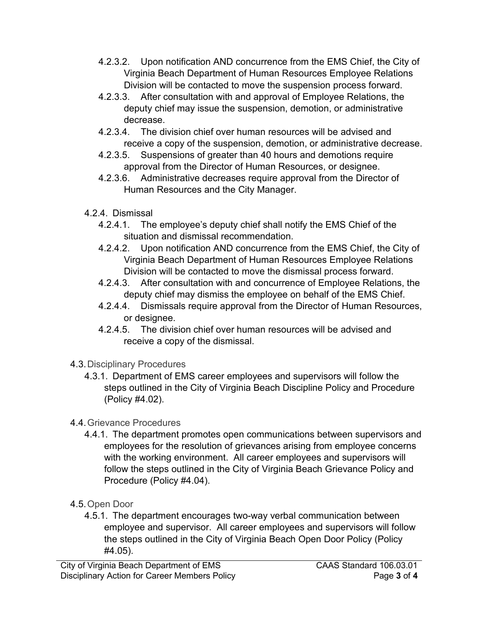- 4.2.3.2. Upon notification AND concurrence from the EMS Chief, the City of Virginia Beach Department of Human Resources Employee Relations Division will be contacted to move the suspension process forward.
- 4.2.3.3. After consultation with and approval of Employee Relations, the deputy chief may issue the suspension, demotion, or administrative decrease.
- 4.2.3.4. The division chief over human resources will be advised and receive a copy of the suspension, demotion, or administrative decrease.
- 4.2.3.5. Suspensions of greater than 40 hours and demotions require approval from the Director of Human Resources, or designee.
- 4.2.3.6. Administrative decreases require approval from the Director of Human Resources and the City Manager.
- 4.2.4. Dismissal
	- 4.2.4.1. The employee's deputy chief shall notify the EMS Chief of the situation and dismissal recommendation.
	- 4.2.4.2. Upon notification AND concurrence from the EMS Chief, the City of Virginia Beach Department of Human Resources Employee Relations Division will be contacted to move the dismissal process forward.
	- 4.2.4.3. After consultation with and concurrence of Employee Relations, the deputy chief may dismiss the employee on behalf of the EMS Chief.
	- 4.2.4.4. Dismissals require approval from the Director of Human Resources, or designee.
	- 4.2.4.5. The division chief over human resources will be advised and receive a copy of the dismissal.
- 4.3.Disciplinary Procedures
	- 4.3.1. Department of EMS career employees and supervisors will follow the steps outlined in the City of Virginia Beach Discipline Policy and Procedure (Policy #4.02).
- 4.4.Grievance Procedures
	- 4.4.1. The department promotes open communications between supervisors and employees for the resolution of grievances arising from employee concerns with the working environment. All career employees and supervisors will follow the steps outlined in the City of Virginia Beach Grievance Policy and Procedure (Policy #4.04).
- 4.5.Open Door
	- 4.5.1. The department encourages two-way verbal communication between employee and supervisor. All career employees and supervisors will follow the steps outlined in the City of Virginia Beach Open Door Policy (Policy #4.05).